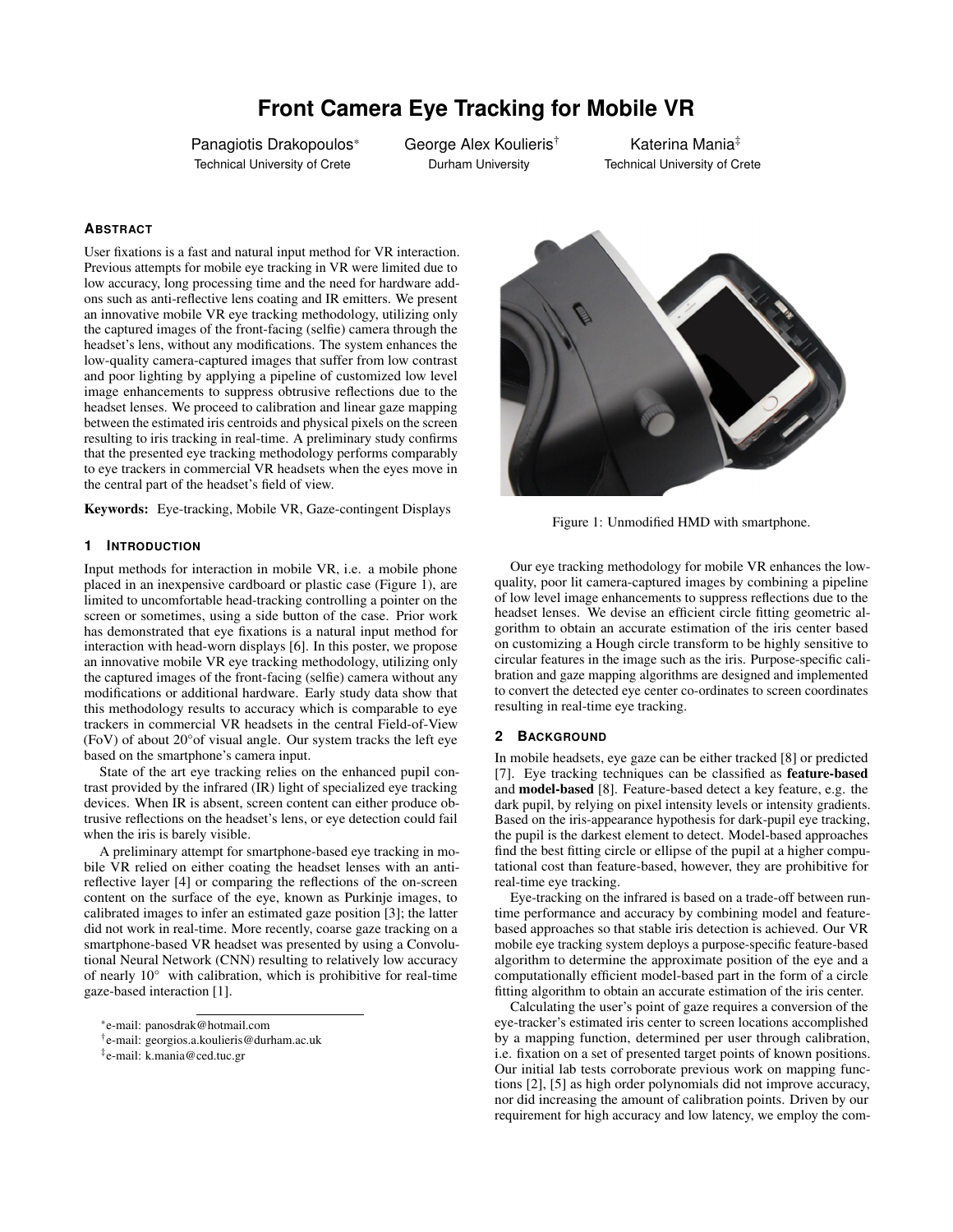# **Front Camera Eye Tracking for Mobile VR**

Panagiotis Drakopoulos\* Technical University of Crete

George Alex Koulieris† Durham University

Katerina Mania‡ Technical University of Crete

## **ABSTRACT**

User fixations is a fast and natural input method for VR interaction. Previous attempts for mobile eye tracking in VR were limited due to low accuracy, long processing time and the need for hardware addons such as anti-reflective lens coating and IR emitters. We present an innovative mobile VR eye tracking methodology, utilizing only the captured images of the front-facing (selfie) camera through the headset's lens, without any modifications. The system enhances the low-quality camera-captured images that suffer from low contrast and poor lighting by applying a pipeline of customized low level image enhancements to suppress obtrusive reflections due to the headset lenses. We proceed to calibration and linear gaze mapping between the estimated iris centroids and physical pixels on the screen resulting to iris tracking in real-time. A preliminary study confirms that the presented eye tracking methodology performs comparably to eye trackers in commercial VR headsets when the eyes move in the central part of the headset's field of view.

Keywords: Eye-tracking, Mobile VR, Gaze-contingent Displays

## **1 INTRODUCTION**

Input methods for interaction in mobile VR, i.e. a mobile phone placed in an inexpensive cardboard or plastic case (Figure  $\hat{1}$ ), are limited to uncomfortable head-tracking controlling a pointer on the screen or sometimes, using a side button of the case. Prior work has demonstrated that eye fixations is a natural input method for interaction with head-worn displays [\[6\]](#page-1-0). In this poster, we propose an innovative mobile VR eye tracking methodology, utilizing only the captured images of the front-facing (selfie) camera without any modifications or additional hardware. Early study data show that this methodology results to accuracy which is comparable to eye trackers in commercial VR headsets in the central Field-of-View (FoV) of about 20°of visual angle. Our system tracks the left eye based on the smartphone's camera input.

State of the art eye tracking relies on the enhanced pupil contrast provided by the infrared (IR) light of specialized eye tracking devices. When IR is absent, screen content can either produce obtrusive reflections on the headset's lens, or eye detection could fail when the iris is barely visible.

A preliminary attempt for smartphone-based eye tracking in mobile VR relied on either coating the headset lenses with an antireflective layer [\[4\]](#page-1-1) or comparing the reflections of the on-screen content on the surface of the eye, known as Purkinje images, to calibrated images to infer an estimated gaze position [\[3\]](#page-1-2); the latter did not work in real-time. More recently, coarse gaze tracking on a smartphone-based VR headset was presented by using a Convolutional Neural Network (CNN) resulting to relatively low accuracy of nearly 10° with calibration, which is prohibitive for real-time gaze-based interaction [\[1\]](#page-1-3).

‡ e-mail: k.mania@ced.tuc.gr



Figure 1: Unmodified HMD with smartphone.

Our eye tracking methodology for mobile VR enhances the lowquality, poor lit camera-captured images by combining a pipeline of low level image enhancements to suppress reflections due to the headset lenses. We devise an efficient circle fitting geometric algorithm to obtain an accurate estimation of the iris center based on customizing a Hough circle transform to be highly sensitive to circular features in the image such as the iris. Purpose-specific calibration and gaze mapping algorithms are designed and implemented to convert the detected eye center co-ordinates to screen coordinates resulting in real-time eye tracking.

## **2 BACKGROUND**

In mobile headsets, eye gaze can be either tracked [\[8\]](#page-1-4) or predicted [\[7\]](#page-1-5). Eye tracking techniques can be classified as feature-based and model-based [\[8\]](#page-1-4). Feature-based detect a key feature, e.g. the dark pupil, by relying on pixel intensity levels or intensity gradients. Based on the iris-appearance hypothesis for dark-pupil eye tracking, the pupil is the darkest element to detect. Model-based approaches find the best fitting circle or ellipse of the pupil at a higher computational cost than feature-based, however, they are prohibitive for real-time eye tracking.

Eye-tracking on the infrared is based on a trade-off between runtime performance and accuracy by combining model and featurebased approaches so that stable iris detection is achieved. Our VR mobile eye tracking system deploys a purpose-specific feature-based algorithm to determine the approximate position of the eye and a computationally efficient model-based part in the form of a circle fitting algorithm to obtain an accurate estimation of the iris center.

Calculating the user's point of gaze requires a conversion of the eye-tracker's estimated iris center to screen locations accomplished by a mapping function, determined per user through calibration, i.e. fixation on a set of presented target points of known positions. Our initial lab tests corroborate previous work on mapping functions [\[2\]](#page-1-6), [\[5\]](#page-1-7) as high order polynomials did not improve accuracy, nor did increasing the amount of calibration points. Driven by our requirement for high accuracy and low latency, we employ the com-

<sup>\*</sup>e-mail: panosdrak@hotmail.com

<sup>†</sup> e-mail: georgios.a.koulieris@durham.ac.uk